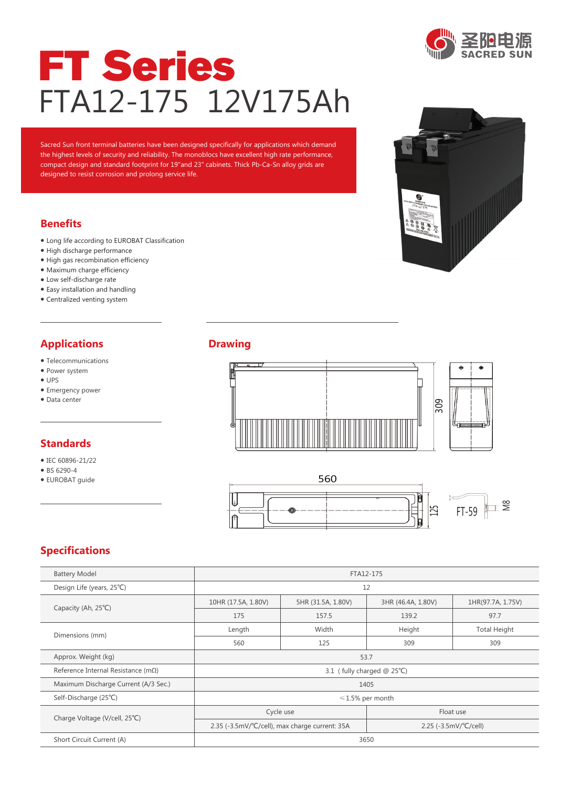

# FT Series FTA12-175 12V175Ah

Sacred Sun front terminal batteries have been designed specifically for applications which demand the highest levels of security and reliability. The monoblocs have excellent high rate performance, compact design and standard footprint for 19"and 23" cabinets. Thick Pb-Ca-Sn alloy grids are designed to resist corrosion and prolong service life.

#### **Benefits**

- Long life according to EUROBAT Classification
- High discharge performance
- High gas recombination efficiency
- Maximum charge efficiency
- Low self-discharge rate
- Easy installation and handling
- Centralized venting system

### **Applications**

- Telecommunications
- Power system
- UPS
- Emergency power
- Data center

#### **Standards**

- IEC 60896-21/22
- BS 6290-4
- EUROBAT guide

#### **Drawing**





# **Specifications**

| <b>Battery Model</b>                        | FTA12-175                  |                                                |                                              |                     |  |  |  |  |  |
|---------------------------------------------|----------------------------|------------------------------------------------|----------------------------------------------|---------------------|--|--|--|--|--|
| Design Life (years, 25°C)                   | 12                         |                                                |                                              |                     |  |  |  |  |  |
|                                             | 10HR (17.5A, 1.80V)        | 5HR (31.5A, 1.80V)                             | 3HR (46.4A, 1.80V)                           | 1HR(97.7A, 1.75V)   |  |  |  |  |  |
| Capacity (Ah, 25°C)                         | 175                        | 157.5                                          | 139.2                                        | 97.7                |  |  |  |  |  |
| Dimensions (mm)                             | Length                     | Width                                          | Height                                       | <b>Total Height</b> |  |  |  |  |  |
|                                             | 560                        | 125                                            | 309                                          | 309                 |  |  |  |  |  |
| Approx. Weight (kg)                         | 53.7                       |                                                |                                              |                     |  |  |  |  |  |
| Reference Internal Resistance (m $\Omega$ ) | 3.1 (fully charged @ 25°C) |                                                |                                              |                     |  |  |  |  |  |
| Maximum Discharge Current (A/3 Sec.)        | 1405                       |                                                |                                              |                     |  |  |  |  |  |
| Self-Discharge (25°C)                       | $\leq 1.5\%$ per month     |                                                |                                              |                     |  |  |  |  |  |
|                                             | Cycle use                  |                                                | Float use                                    |                     |  |  |  |  |  |
| Charge Voltage (V/cell, 25°C)               |                            | 2.35 (-3.5mV/°C/cell), max charge current: 35A | 2.25 $(-3.5 \text{mV})^{\circ}C/\text{cell}$ |                     |  |  |  |  |  |
| Short Circuit Current (A)                   | 3650                       |                                                |                                              |                     |  |  |  |  |  |